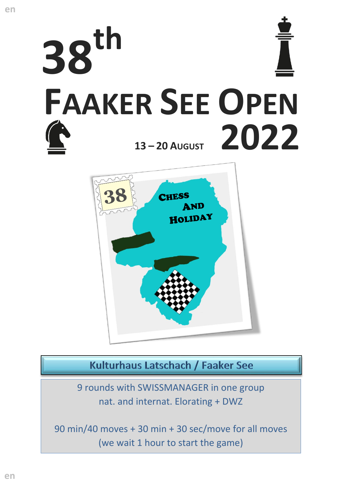



Kulturhaus Latschach / Faaker See

9 rounds with SWISSMANAGER in one group nat. and internat. Elorating + DWZ

90 min/40 moves + 30 min + 30 sec/move for all moves (we wait 1 hour to start the game)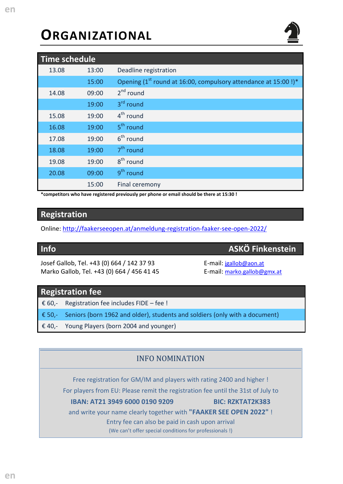# **ORGANIZATIONAL**

| <b>Time schedule</b> |       |                                                                            |  |  |  |
|----------------------|-------|----------------------------------------------------------------------------|--|--|--|
| 13.08                | 13:00 | Deadline registration                                                      |  |  |  |
|                      | 15:00 | Opening (1 <sup>st</sup> round at 16:00, compulsory attendance at 15:00!)* |  |  |  |
| 14.08                | 09:00 | $2^{nd}$ round                                                             |  |  |  |
|                      | 19:00 | 3 <sup>rd</sup> round                                                      |  |  |  |
| 15.08                | 19:00 | $4th$ round                                                                |  |  |  |
| 16.08                | 19:00 | 5 <sup>th</sup> round                                                      |  |  |  |
| 17.08                | 19:00 | $6th$ round                                                                |  |  |  |
| 18.08                | 19:00 | $7th$ round                                                                |  |  |  |
| 19.08                | 19:00 | 8 <sup>th</sup> round                                                      |  |  |  |
| 20.08                | 09:00 | 9 <sup>th</sup> round                                                      |  |  |  |
|                      | 15:00 | Final ceremony                                                             |  |  |  |

**\*competitors who have registered previously per phone or email should be there at 15:30 !**

# **Registration**

Online:<http://faakerseeopen.at/anmeldung-registration-faaker-see-open-2022/>

# **Info ASKÖ Finkenstein**

Josef Gallob, Tel. +43 (0) 664 / 142 37 93 E-mail: [jgallob@aon.at](mailto:jgallob@aon.at) Marko Gallob, Tel. +43 (0) 664 / 456 41 45 E-mail: [marko.gallob@gmx.at](mailto:marko.gallob@gmx.at)

### **Registration fee**

€ 60,- Registration fee includes FIDE – fee !

€ 50,- Seniors (born 1962 and older), students and soldiers (only with a document)

€ 40,- Young Players (born 2004 and younger)

#### INFO NOMINATION

Free registration for GM/IM and players with rating 2400 and higher ! For players from EU: Please remit the registration fee until the 31st of July to

#### **IBAN: AT21 3949 6000 0190 9209 BIC: RZKTAT2K383**

and write your name clearly together with **"FAAKER SEE OPEN 2022"** !

Entry fee can also be paid in cash upon arrival

(We can't offer special conditions for professionals !)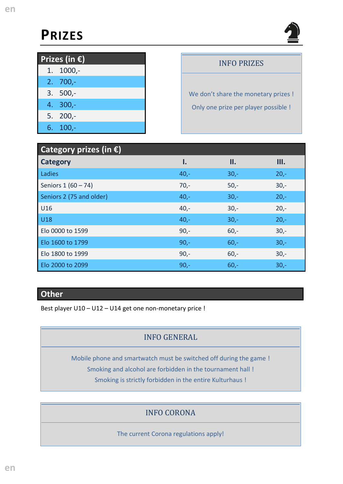# **PRIZES**



| <b>Prizes</b> (in $\widehat{\epsilon}$ ) |            |  |  |  |  |
|------------------------------------------|------------|--|--|--|--|
|                                          | $1.1000,-$ |  |  |  |  |
|                                          | $2.700 -$  |  |  |  |  |
|                                          | $3.500 -$  |  |  |  |  |
|                                          | 4. 300,-   |  |  |  |  |
|                                          | $5.200 -$  |  |  |  |  |
|                                          | $6.100 -$  |  |  |  |  |

# INFO PRIZES

We don't share the monetary prizes ! Only one prize per player possible !

| Category prizes (in $\epsilon$ ) |        |        |        |  |  |  |
|----------------------------------|--------|--------|--------|--|--|--|
| <b>Category</b>                  | Ι.     | II.    | III.   |  |  |  |
| Ladies                           | $40,-$ | $30 -$ | $20,-$ |  |  |  |
| Seniors 1 (60 - 74)              | $70,-$ | $50,-$ | $30 -$ |  |  |  |
| Seniors 2 (75 and older)         | $40,-$ | $30 -$ | $20,-$ |  |  |  |
| U16                              | $40,-$ | $30 -$ | $20 -$ |  |  |  |
| <b>U18</b>                       | $40,-$ | $30 -$ | $20 -$ |  |  |  |
| Elo 0000 to 1599                 | $90 -$ | $60 -$ | $30 -$ |  |  |  |
| Elo 1600 to 1799                 | $90 -$ | $60 -$ | $30 -$ |  |  |  |
| Elo 1800 to 1999                 | $90 -$ | $60 -$ | $30 -$ |  |  |  |
| Elo 2000 to 2099                 | $90 -$ | $60 -$ | $30 -$ |  |  |  |

# **Other**

Best player U10 – U12 – U14 get one non-monetary price !

# INFO GENERAL

Mobile phone and smartwatch must be switched off during the game ! Smoking and alcohol are forbidden in the tournament hall ! Smoking is strictly forbidden in the entire Kulturhaus !

# INFO CORONA

The current Corona regulations apply!